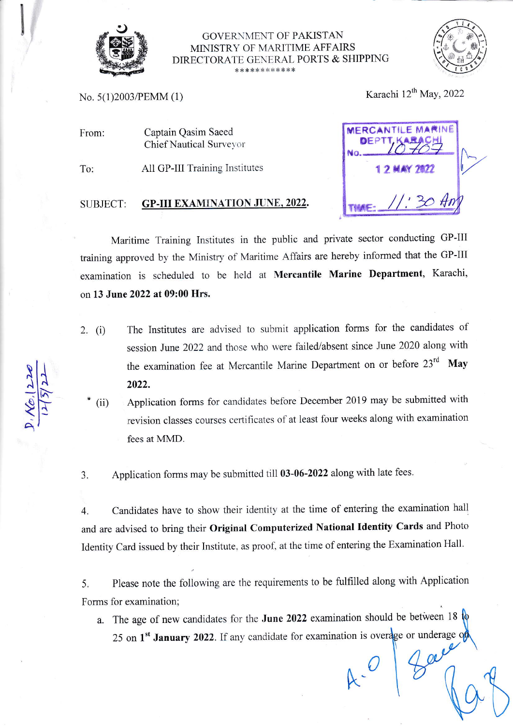

## **GOVERNMENT OF PAKISTAN** MINISTRY OF MARITIME AFFAIRS DIRECTORATE GENERAL PORTS & SHIPPING \*\*\*\*\*\*\*\*\*\*\*\*



No. 5(1)2003/PEMM (1)

Karachi 12<sup>th</sup> May, 2022

**FRCANTILE** 

Captain Qasim Saeed From: **Chief Nautical Surveyor** 

All GP-III Training Institutes To:

## **GP-III EXAMINATION JUNE, 2022.** SUBJECT:

Maritime Training Institutes in the public and private sector conducting GP-III training approved by the Ministry of Maritime Affairs are hereby informed that the GP-III examination is scheduled to be held at Mercantile Marine Department, Karachi, on 13 June 2022 at 09:00 Hrs.

The Institutes are advised to submit application forms for the candidates of 2.  $(i)$ session June 2022 and those who were failed/absent since June 2020 along with the examination fee at Mercantile Marine Department on or before 23<sup>rd</sup> May 2022.

Application forms for candidates before December 2019 may be submitted with  $(ii)$ revision classes courses certificates of at least four weeks along with examination fees at MMD.

Application forms may be submitted till 03-06-2022 along with late fees. 3.

Candidates have to show their identity at the time of entering the examination hall  $\overline{4}$ . and are advised to bring their Original Computerized National Identity Cards and Photo Identity Card issued by their Institute, as proof, at the time of entering the Examination Hall.

Please note the following are the requirements to be fulfilled along with Application 5. Forms for examination;

a. The age of new candidates for the June 2022 examination should be between 18  $\phi$ 25 on 1<sup>st</sup> January 2022. If any candidate for examination is overage or underage of